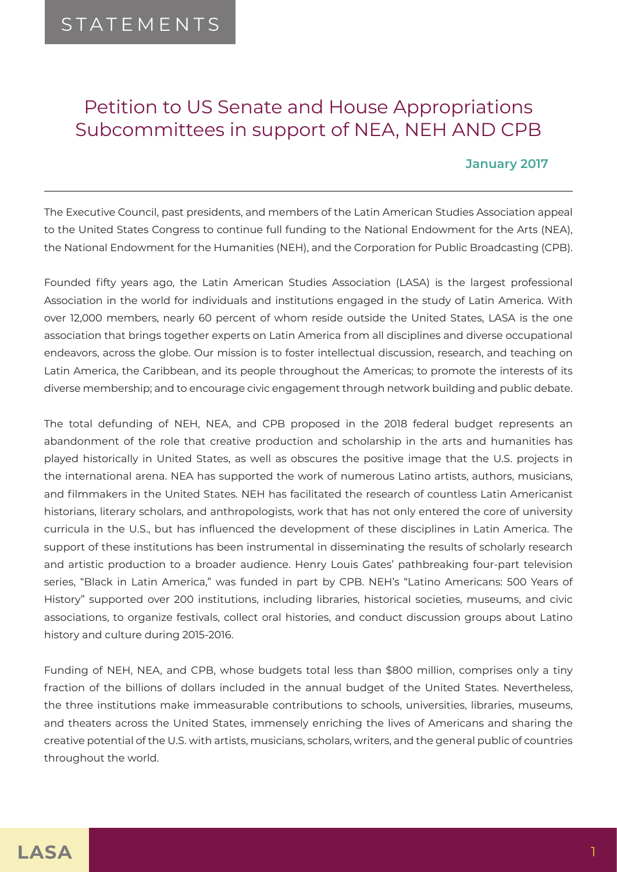# Petition to US Senate and House Appropriations Subcommittees in support of NEA, NEH AND CPB

#### **January 2017**

The Executive Council, past presidents, and members of the Latin American Studies Association appeal to the United States Congress to continue full funding to the National Endowment for the Arts (NEA), the National Endowment for the Humanities (NEH), and the Corporation for Public Broadcasting (CPB).

Founded fifty years ago, the Latin American Studies Association (LASA) is the largest professional Association in the world for individuals and institutions engaged in the study of Latin America. With over 12,000 members, nearly 60 percent of whom reside outside the United States, LASA is the one association that brings together experts on Latin America from all disciplines and diverse occupational endeavors, across the globe. Our mission is to foster intellectual discussion, research, and teaching on Latin America, the Caribbean, and its people throughout the Americas; to promote the interests of its diverse membership; and to encourage civic engagement through network building and public debate.

The total defunding of NEH, NEA, and CPB proposed in the 2018 federal budget represents an abandonment of the role that creative production and scholarship in the arts and humanities has played historically in United States, as well as obscures the positive image that the U.S. projects in the international arena. NEA has supported the work of numerous Latino artists, authors, musicians, and filmmakers in the United States. NEH has facilitated the research of countless Latin Americanist historians, literary scholars, and anthropologists, work that has not only entered the core of university curricula in the U.S., but has influenced the development of these disciplines in Latin America. The support of these institutions has been instrumental in disseminating the results of scholarly research and artistic production to a broader audience. Henry Louis Gates' pathbreaking four-part television series, "Black in Latin America," was funded in part by CPB. NEH's "Latino Americans: 500 Years of History" supported over 200 institutions, including libraries, historical societies, museums, and civic associations, to organize festivals, collect oral histories, and conduct discussion groups about Latino history and culture during 2015-2016.

Funding of NEH, NEA, and CPB, whose budgets total less than \$800 million, comprises only a tiny fraction of the billions of dollars included in the annual budget of the United States. Nevertheless, the three institutions make immeasurable contributions to schools, universities, libraries, museums, and theaters across the United States, immensely enriching the lives of Americans and sharing the creative potential of the U.S. with artists, musicians, scholars, writers, and the general public of countries throughout the world.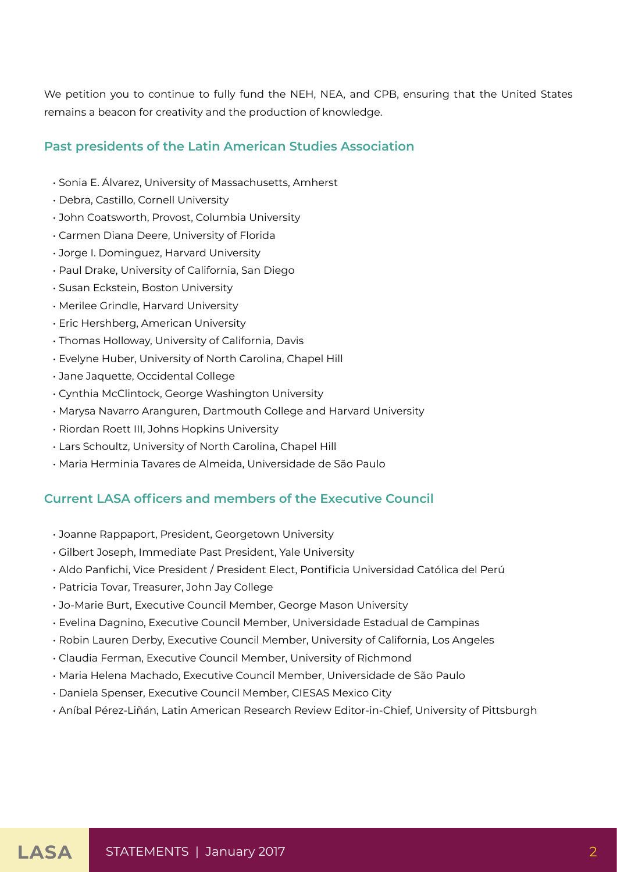We petition you to continue to fully fund the NEH, NEA, and CPB, ensuring that the United States remains a beacon for creativity and the production of knowledge.

## **Past presidents of the Latin American Studies Association**

- Sonia E. Álvarez, University of Massachusetts, Amherst
- Debra, Castillo, Cornell University
- John Coatsworth, Provost, Columbia University
- Carmen Diana Deere, University of Florida
- Jorge I. Dominguez, Harvard University
- Paul Drake, University of California, San Diego
- Susan Eckstein, Boston University
- Merilee Grindle, Harvard University
- Eric Hershberg, American University
- Thomas Holloway, University of California, Davis
- Evelyne Huber, University of North Carolina, Chapel Hill
- Jane Jaquette, Occidental College
- Cynthia McClintock, George Washington University
- Marysa Navarro Aranguren, Dartmouth College and Harvard University
- Riordan Roett III, Johns Hopkins University
- Lars Schoultz, University of North Carolina, Chapel Hill
- Maria Herminia Tavares de Almeida, Universidade de São Paulo

### **Current LASA officers and members of the Executive Council**

- Joanne Rappaport, President, Georgetown University
- Gilbert Joseph, Immediate Past President, Yale University
- Aldo Panfichi, Vice President / President Elect, Pontificia Universidad Católica del Perú
- Patricia Tovar, Treasurer, John Jay College
- Jo-Marie Burt, Executive Council Member, George Mason University
- Evelina Dagnino, Executive Council Member, Universidade Estadual de Campinas
- Robin Lauren Derby, Executive Council Member, University of California, Los Angeles
- Claudia Ferman, Executive Council Member, University of Richmond
- Maria Helena Machado, Executive Council Member, Universidade de São Paulo
- Daniela Spenser, Executive Council Member, CIESAS Mexico City
- Aníbal Pérez-Liñán, Latin American Research Review Editor-in-Chief, University of Pittsburgh